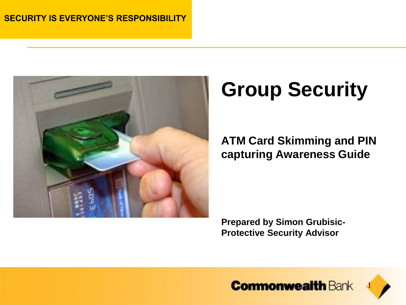

# **Group Security**

#### **ATM Card Skimming and PIN capturing Awareness Guide**

**Prepared by Simon Grubisic-Protective Security Advisor**

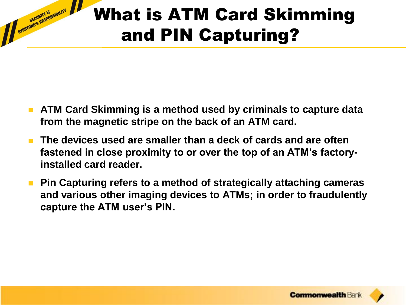## What is ATM Card Skimming and PIN Capturing?

 **ATM Card Skimming is a method used by criminals to capture data from the magnetic stripe on the back of an ATM card.**

- **The devices used are smaller than a deck of cards and are often fastened in close proximity to or over the top of an ATM's factoryinstalled card reader.**
- **Pin Capturing refers to a method of strategically attaching cameras and various other imaging devices to ATMs; in order to fraudulently capture the ATM user's PIN.**

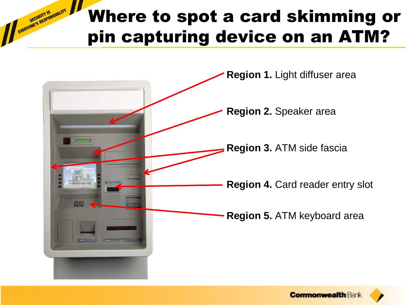#### Where to spot a card skimming or pin capturing device on an ATM?



EVERYONE'S RESPONSIBILITY

**Commonwealth Ban**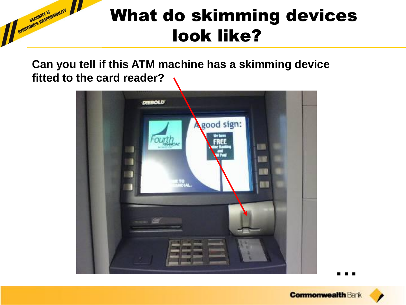**Can you tell if this ATM machine has a skimming device fitted to the card reader?**

EVERYONE'S RESPONSIBILITY



**…**

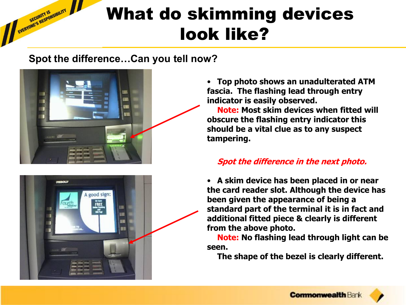#### **Spot the difference…Can you tell now?**



EVERYONE'S RESPONSIBILITY



• **Top photo shows an unadulterated ATM fascia. The flashing lead through entry indicator is easily observed.**

**Note: Most skim devices when fitted will obscure the flashing entry indicator this should be a vital clue as to any suspect tampering.** 

#### **Spot the difference in the next photo.**

• **A skim device has been placed in or near the card reader slot. Although the device has been given the appearance of being a standard part of the terminal it is in fact and additional fitted piece & clearly is different from the above photo.** 

**Note: No flashing lead through light can be seen.** 

**The shape of the bezel is clearly different.**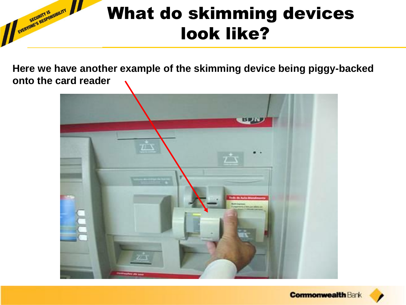**Here we have another example of the skimming device being piggy-backed onto the card reader**

EVERYONE'S RESPONSIBILITY



**Commonwealth Bank**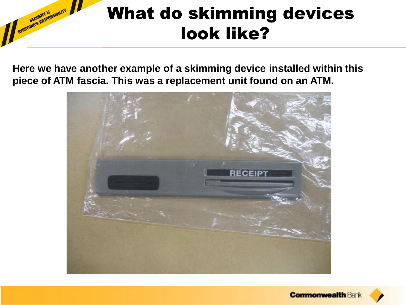**Here we have another example of a skimming device installed within this piece of ATM fascia. This was a replacement unit found on an ATM.**

EVERYONE'S RESPONSIBILITY



**Commonwealth Bank**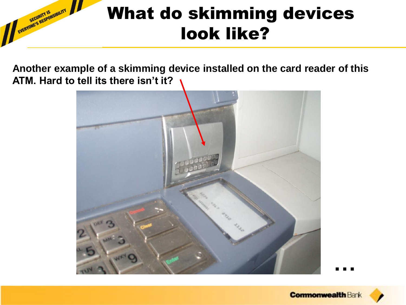#### EVERYONE'S RESPONSIBILITY What do skimming devices look like?

**Another example of a skimming device installed on the card reader of this ATM. Hard to tell its there isn't it?**



**…**

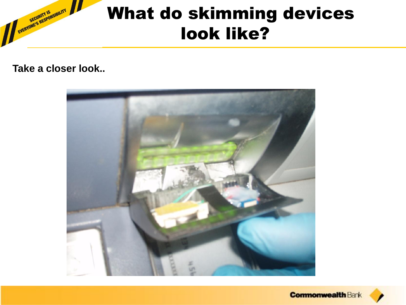**Take a closer look..**

EVERYONE'S RESPONSIBILITY



**Commonwealth Bank**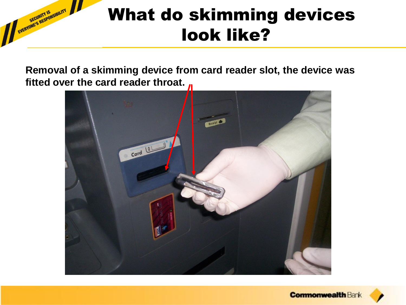**Removal of a skimming device from card reader slot, the device was fitted over the card reader throat.** 

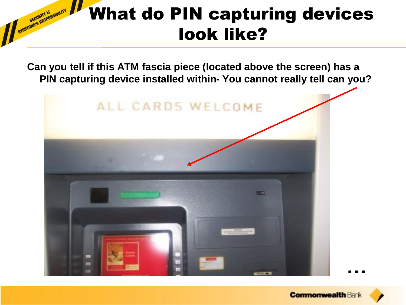**Can you tell if this ATM fascia piece (located above the screen) has a PIN capturing device installed within- You cannot really tell can you?**



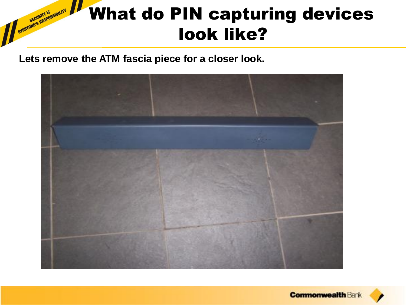#### EVERYONE'S RESPONSIBILITY What do PIN capturing devices look like?

**Lets remove the ATM fascia piece for a closer look.**



**Commonwealth Bank**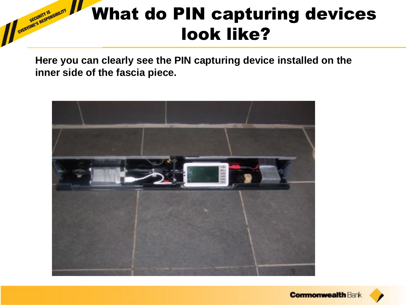**Here you can clearly see the PIN capturing device installed on the inner side of the fascia piece.**

EVERYONE'S RESPONSIBILITY



**Commonwealth Ban**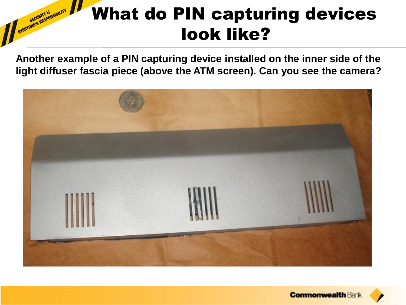**Another example of a PIN capturing device installed on the inner side of the light diffuser fascia piece (above the ATM screen). Can you see the camera?**

EVERYONE'S RESPONSIBILITY



**Commonwealth Ban**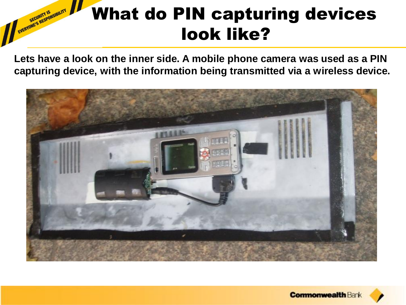**Lets have a look on the inner side. A mobile phone camera was used as a PIN capturing device, with the information being transmitted via a wireless device.**

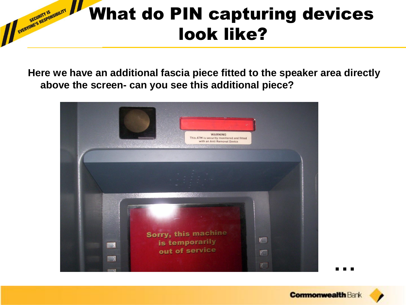**Here we have an additional fascia piece fitted to the speaker area directly above the screen- can you see this additional piece?**

EVERYONE'S RESPONSIBILITY



**…**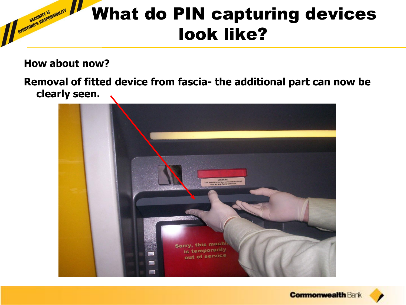**How about now?** 

EVERYONE'S RESPONSIBILITY

**Removal of fitted device from fascia- the additional part can now be clearly seen.** 



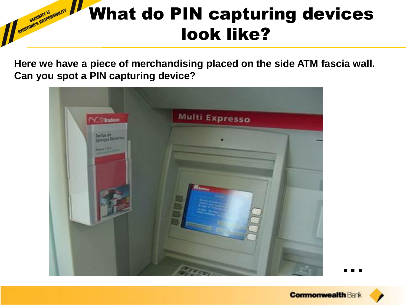**Here we have a piece of merchandising placed on the side ATM fascia wall. Can you spot a PIN capturing device?** 

EVERYONE'S RESPONSIBILITY



**…**

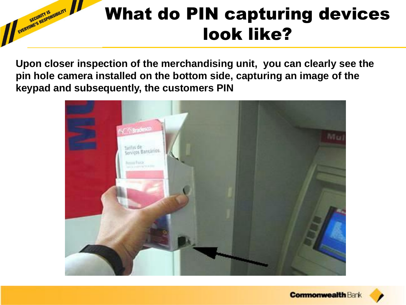**Upon closer inspection of the merchandising unit, you can clearly see the pin hole camera installed on the bottom side, capturing an image of the keypad and subsequently, the customers PIN**

EVERYONE'S RESPONSIBILITY



**Commonwealth Ban**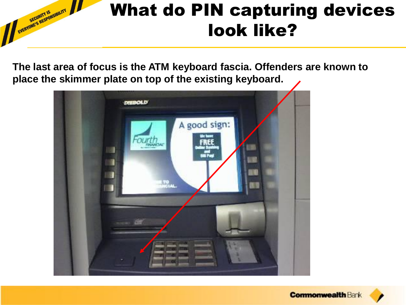**The last area of focus is the ATM keyboard fascia. Offenders are known to place the skimmer plate on top of the existing keyboard.**



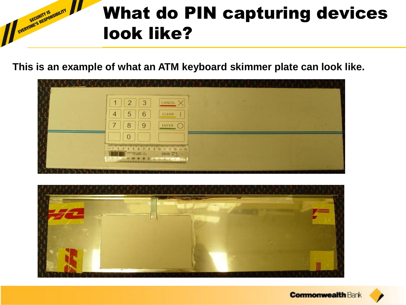**This is an example of what an ATM keyboard skimmer plate can look like.**

|  | 2<br>3<br>и<br>5<br>6<br>4                                                                  | and in the construction of the construction of the construction of the construction of the construction of the<br>CANCEL<br>CLEAR |  |  |
|--|---------------------------------------------------------------------------------------------|-----------------------------------------------------------------------------------------------------------------------------------|--|--|
|  | ⇁<br>8<br>9                                                                                 | ENTER (<br>_____                                                                                                                  |  |  |
|  | $\overline{0}$<br><b>CONTRACTOR</b><br>191 01 011 021 031 001 03 04 04 04 15 18 02 02 07 18 | <b>BRANK COLL</b>                                                                                                                 |  |  |
|  |                                                                                             |                                                                                                                                   |  |  |



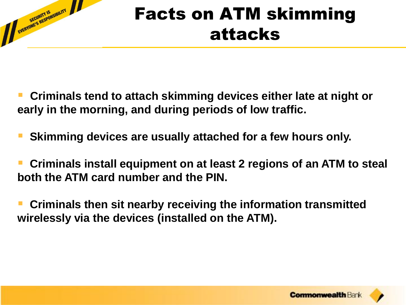

#### Facts on ATM skimming attacks

- **Criminals tend to attach skimming devices either late at night or early in the morning, and during periods of low traffic.**
- **Skimming devices are usually attached for a few hours only.**
- **Criminals install equipment on at least 2 regions of an ATM to steal both the ATM card number and the PIN.**
- **Criminals then sit nearby receiving the information transmitted wirelessly via the devices (installed on the ATM).**

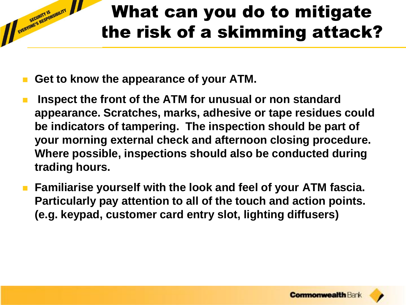## What can you do to mitigate the risk of a skimming attack?

**Get to know the appearance of your ATM.** 

- **Inspect the front of the ATM for unusual or non standard appearance. Scratches, marks, adhesive or tape residues could be indicators of tampering. The inspection should be part of your morning external check and afternoon closing procedure. Where possible, inspections should also be conducted during trading hours.**
- **Familiarise yourself with the look and feel of your ATM fascia. Particularly pay attention to all of the touch and action points. (e.g. keypad, customer card entry slot, lighting diffusers)**